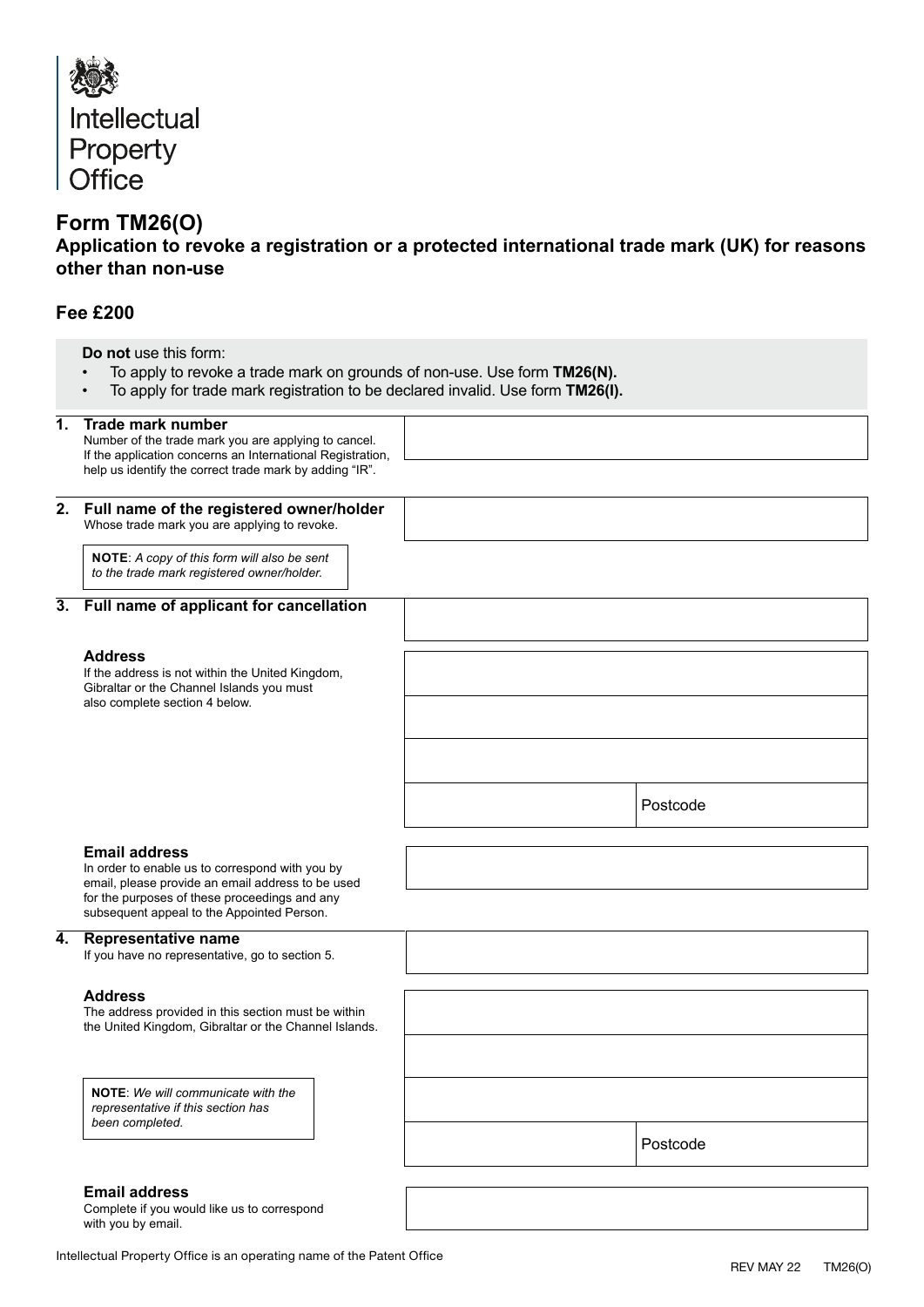

## **Form TM26(O) Application to revoke a registration or a protected international trade mark (UK) for reasons other than non-use**

## **Fee £200**

#### **Do not** use this form:

- To apply to revoke a trade mark on grounds of non-use. Use form **TM26(N).**
- To apply for trade mark registration to be declared invalid. Use form **TM26(I).**

#### **1. Trade mark number**

Number of the trade mark you are applying to cancel. If the application concerns an International Registration, help us identify the correct trade mark by adding "IR".

#### **2. Full name of the registered owner/holder** Whose trade mark you are applying to revoke.

**NOTE**: *A copy of this form will also be sent to the trade mark registered owner/holder.*

#### **3. Full name of applicant for cancellation**

#### **Address**

If the address is not within the United Kingdom, Gibraltar or the Channel Islands you must also complete section 4 below.

| Postcode |
|----------|
|          |

Postcode

#### **Email address**

In order to enable us to correspond with you by email, please provide an email address to be used for the purposes of these proceedings and any subsequent appeal to the Appointed Person.

#### **4. Representative name**

If you have no representative, go to section 5.

#### **Address**

The address provided in this section must be within the United Kingdom, Gibraltar or the Channel Islands.

**NOTE**: *We will communicate with the representative if this section has been completed.*

#### **Email address**

Complete if you would like us to correspond with you by email.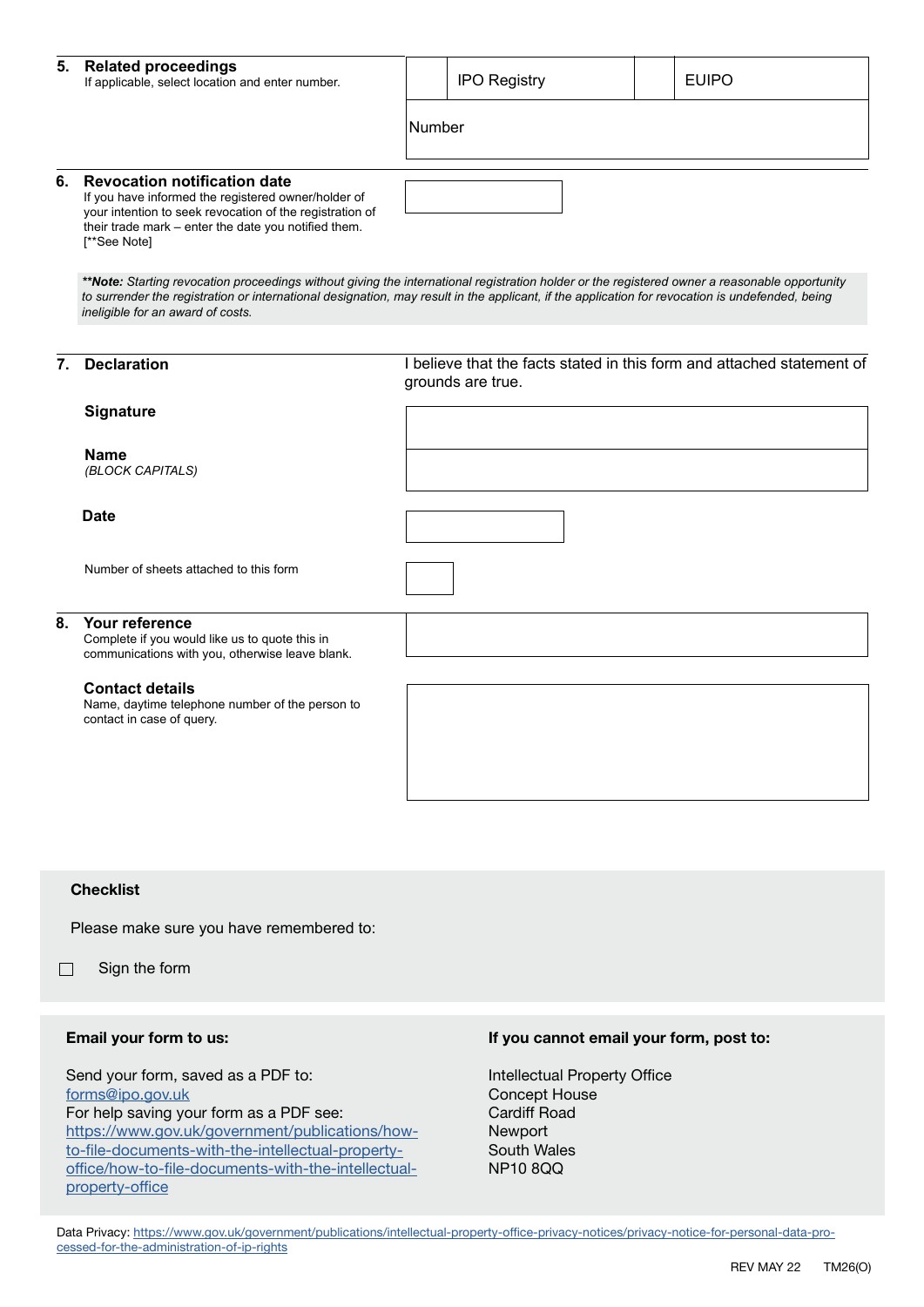| If applicable, select location and enter number.                                                                                                                                        | <b>IPO Registry</b>                                                                         | <b>EUIPO</b>                                                                                                                                                                                                                                                                                     |  |
|-----------------------------------------------------------------------------------------------------------------------------------------------------------------------------------------|---------------------------------------------------------------------------------------------|--------------------------------------------------------------------------------------------------------------------------------------------------------------------------------------------------------------------------------------------------------------------------------------------------|--|
|                                                                                                                                                                                         | Number                                                                                      |                                                                                                                                                                                                                                                                                                  |  |
| If you have informed the registered owner/holder of<br>your intention to seek revocation of the registration of<br>their trade mark - enter the date you notified them.<br>[**See Note] |                                                                                             |                                                                                                                                                                                                                                                                                                  |  |
| ineligible for an award of costs.                                                                                                                                                       |                                                                                             |                                                                                                                                                                                                                                                                                                  |  |
| <b>Declaration</b>                                                                                                                                                                      | I believe that the facts stated in this form and attached statement of<br>grounds are true. |                                                                                                                                                                                                                                                                                                  |  |
| Signature                                                                                                                                                                               |                                                                                             |                                                                                                                                                                                                                                                                                                  |  |
| <b>Name</b><br>(BLOCK CAPITALS)                                                                                                                                                         |                                                                                             |                                                                                                                                                                                                                                                                                                  |  |
| <b>Date</b>                                                                                                                                                                             |                                                                                             |                                                                                                                                                                                                                                                                                                  |  |
| Number of sheets attached to this form                                                                                                                                                  |                                                                                             |                                                                                                                                                                                                                                                                                                  |  |
| Your reference<br>Complete if you would like us to quote this in<br>communications with you, otherwise leave blank.                                                                     |                                                                                             |                                                                                                                                                                                                                                                                                                  |  |
| <b>Contact details</b><br>Name, daytime telephone number of the person to<br>contact in case of query.                                                                                  |                                                                                             |                                                                                                                                                                                                                                                                                                  |  |
|                                                                                                                                                                                         | <b>Related proceedings</b><br>5.<br>6. Revocation notification date                         | **Note: Starting revocation proceedings without giving the international registration holder or the registered owner a reasonable opportunity<br>to surrender the registration or international designation, may result in the applicant, if the application for revocation is undefended, being |  |

## **Checklist**

Please make sure you have remembered to:

Sign the form  $\Box$ 

## Email your form to us:

Send your form, saved as a PDF to: <forms@ipo.gov.uk> For help saving your form as a PDF see: [https://www.gov.uk/government/publications/how](https://www.gov.uk/government/publications/how-to-file-documents-with-the-intellectual-property-office/how-to-file-documents-with-the-intellectual-property-office)[to-file-documents-with-the-intellectual-property](https://www.gov.uk/government/publications/how-to-file-documents-with-the-intellectual-property-office/how-to-file-documents-with-the-intellectual-property-office)[office/how-to-file-documents-with-the-intellectual](https://www.gov.uk/government/publications/how-to-file-documents-with-the-intellectual-property-office/how-to-file-documents-with-the-intellectual-property-office)[property-office](https://www.gov.uk/government/publications/how-to-file-documents-with-the-intellectual-property-office/how-to-file-documents-with-the-intellectual-property-office)

## If you cannot email your form, post to:

Intellectual Property Office Concept House Cardiff Road Newport South Wales NP10 8QQ

Data Privacy: [https://www.gov.uk/government/publications/intellectual-property-office-privacy-notices/privacy-notice-for-personal-data-pro](https://www.gov.uk/government/publications/intellectual-property-office-privacy-notices/privacy-notice-for-personal-data-processed-for-the-administration-of-ip-rights)[cessed-for-the-administration-of-ip-rights](https://www.gov.uk/government/publications/intellectual-property-office-privacy-notices/privacy-notice-for-personal-data-processed-for-the-administration-of-ip-rights)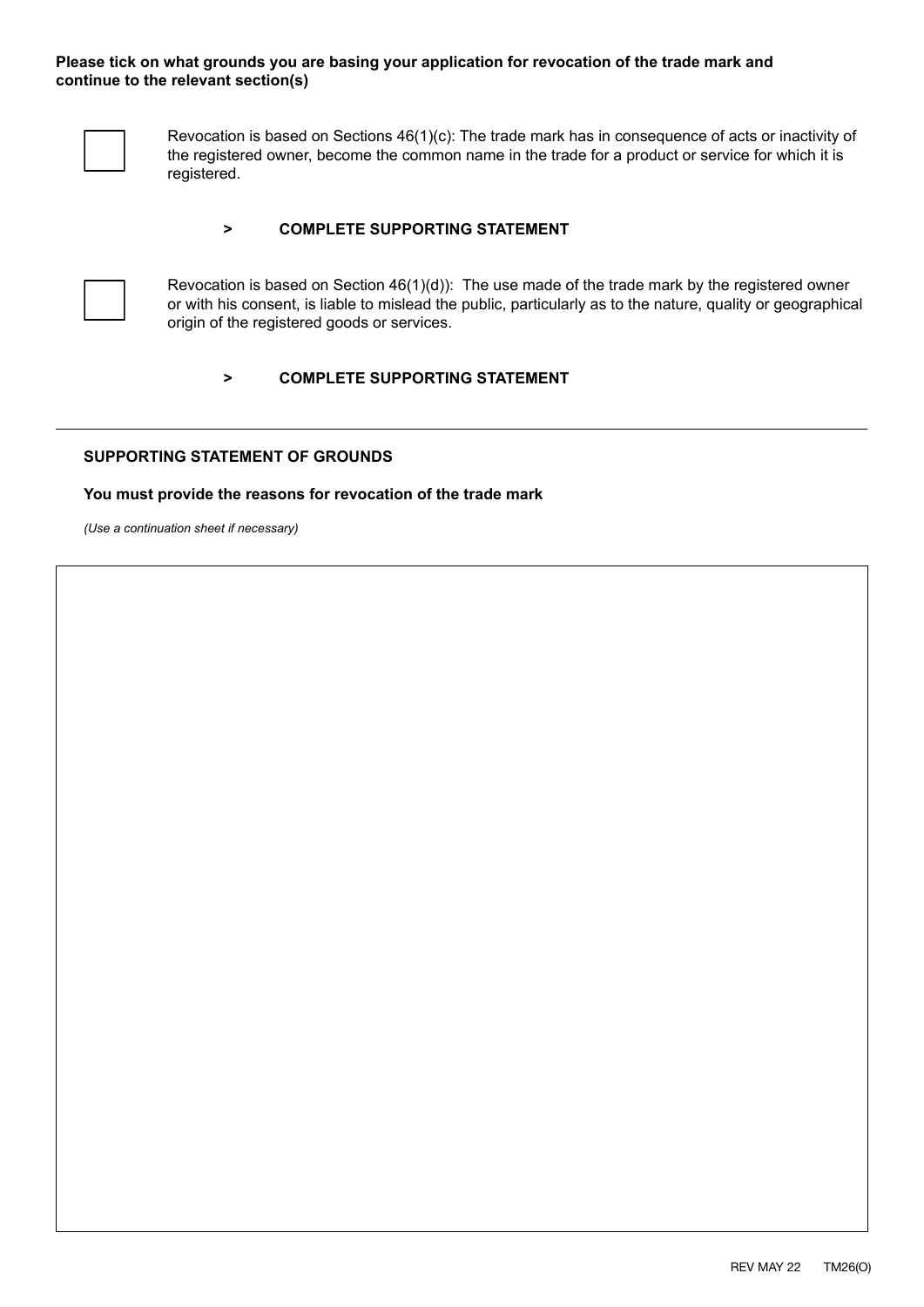## **Please tick on what grounds you are basing your application for revocation of the trade mark and continue to the relevant section(s)**



Revocation is based on Sections 46(1)(c): The trade mark has in consequence of acts or inactivity of the registered owner, become the common name in the trade for a product or service for which it is registered.

## **> COMPLETE SUPPORTING STATEMENT**



Revocation is based on Section 46(1)(d)): The use made of the trade mark by the registered owner or with his consent, is liable to mislead the public, particularly as to the nature, quality or geographical origin of the registered goods or services.

## **> COMPLETE SUPPORTING STATEMENT**

## **SUPPORTING STATEMENT OF GROUNDS**

#### **You must provide the reasons for revocation of the trade mark**

*(Use a continuation sheet if necessary)*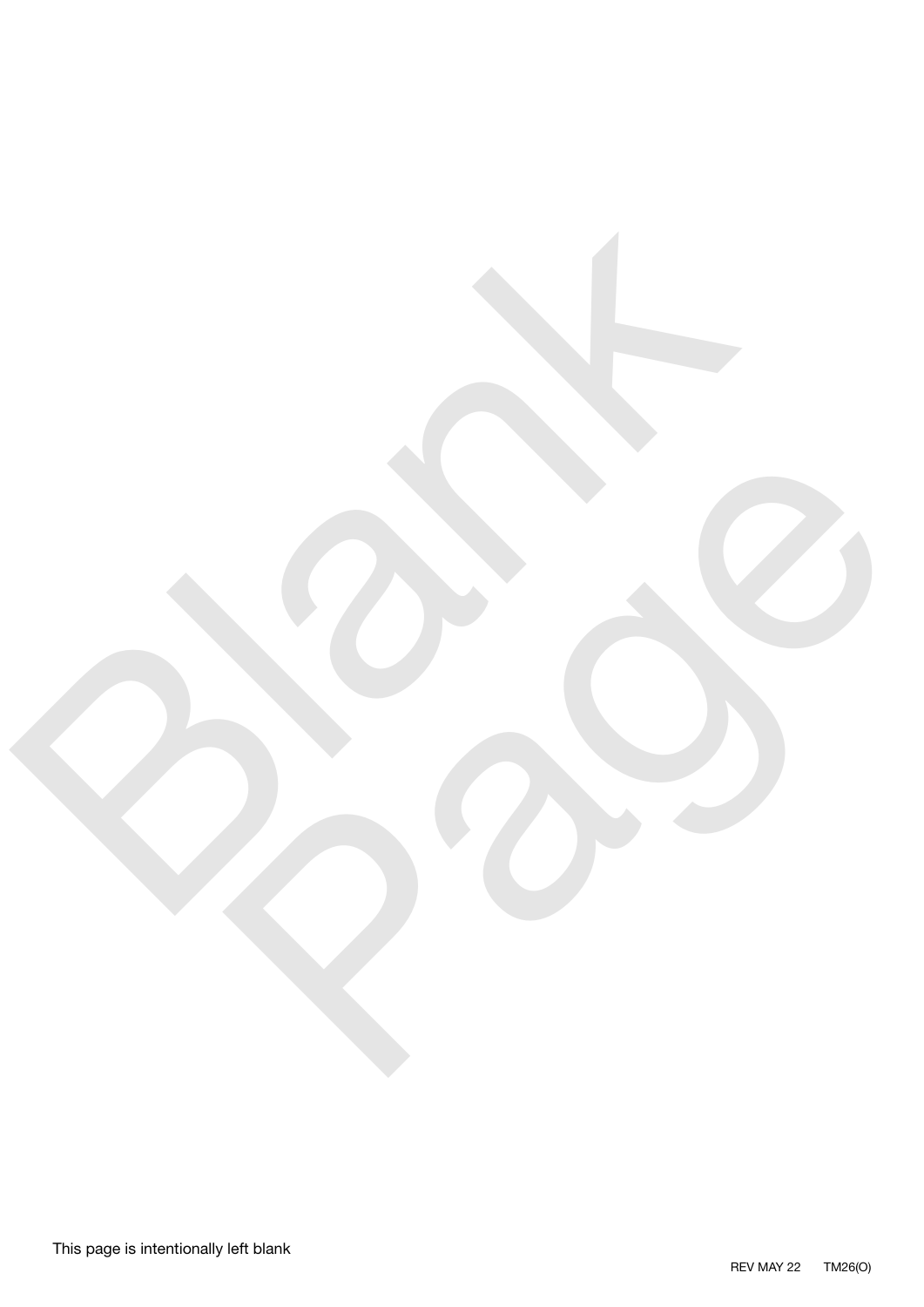This page is intentionally left blank

Blank

Page 19